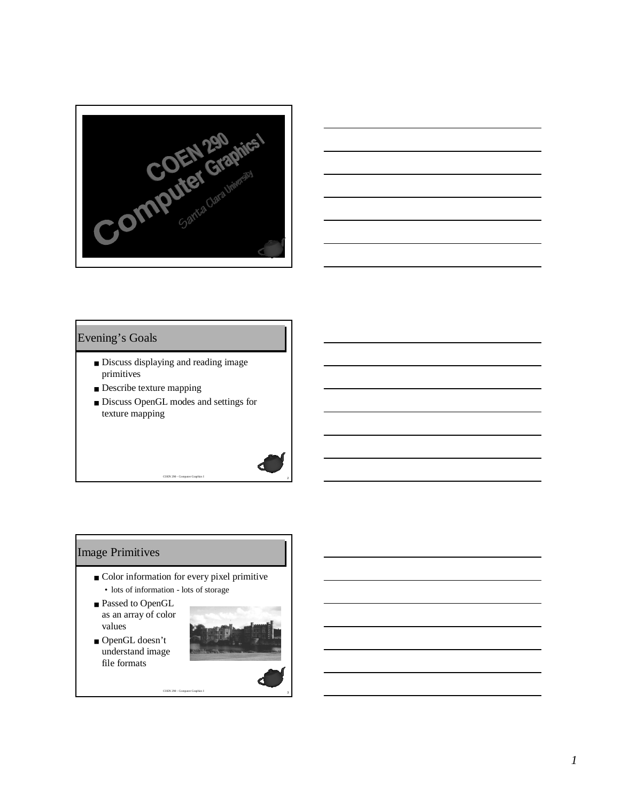



## Evening's Goals

- Discuss displaying and reading image primitives
- Describe texture mapping
- Discuss OpenGL modes and settings for texture mapping

# Image Primitives

■ Color information for every pixel primitive • lots of information - lots of storage

<sup>3</sup> COEN 290 - Computer Graphics I

- Passed to OpenGL as an array of color values
- OpenGL doesn't understand image file formats

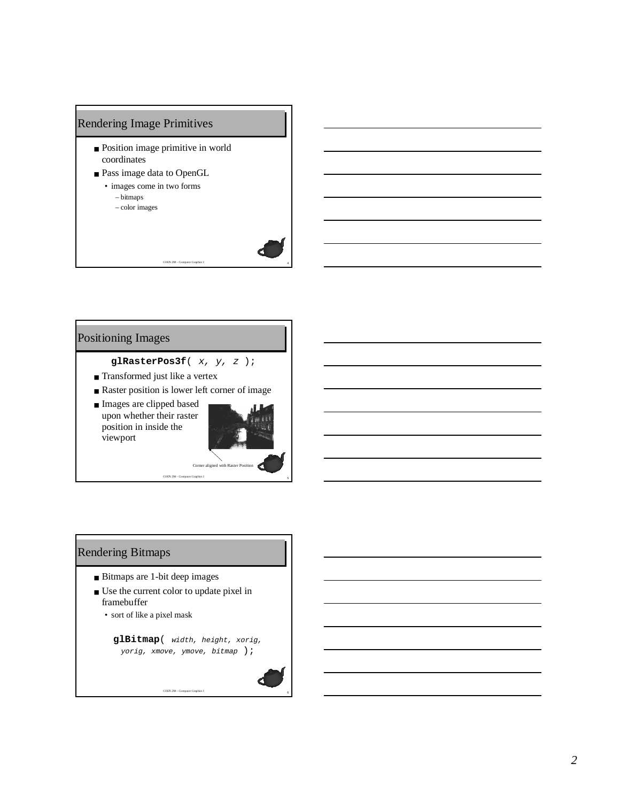# Rendering Image Primitives

- Position image primitive in world coordinates
- Pass image data to OpenGL • images come in two forms
	- bitmaps – color images

## Positioning Images

**glRasterPos3f**( x, y, <sup>z</sup> );

- Transformed just like a vertex
- Raster position is lower left corner of image
- Images are clipped based upon whether their raster position in inside the viewport



<sup>4</sup> COEN 290 - Computer Graphics I

## Rendering Bitmaps

- Bitmaps are 1-bit deep images
- Use the current color to update pixel in framebuffer
	- sort of like a pixel mask

**glBitmap**( width, height, xorig, yorig, xmove, ymove, bitmap );

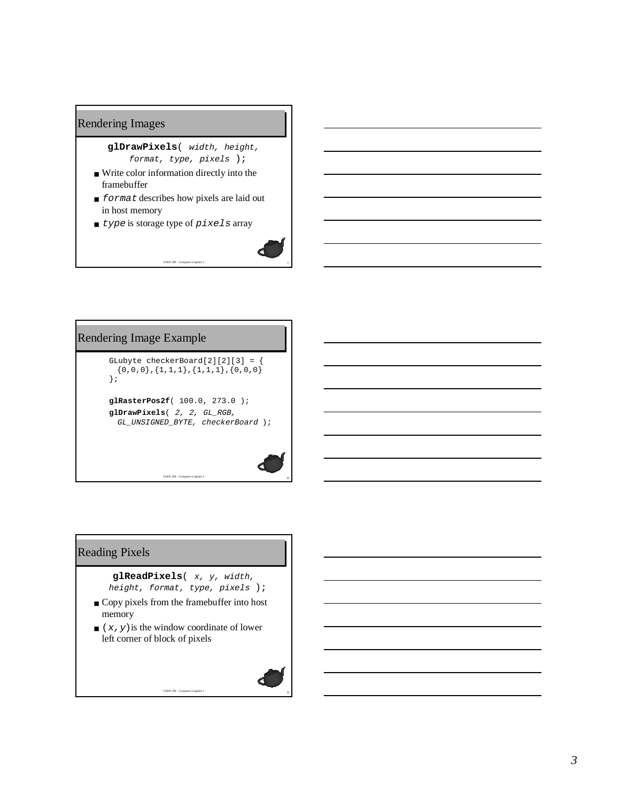#### Rendering Images

# **glDrawPixels**( width, height,

format, type, pixels );

- Write color information directly into the framebuffer
- format describes how pixels are laid out in host memory

<sup>7</sup> COEN 290 - Computer Graphics I

■ type is storage type of pixels array



# Reading Pixels

**glReadPixels**( x, y, width, height, format, type, pixels );

- Copy pixels from the framebuffer into host memory
- $(x, y)$  is the window coordinate of lower left corner of block of pixels

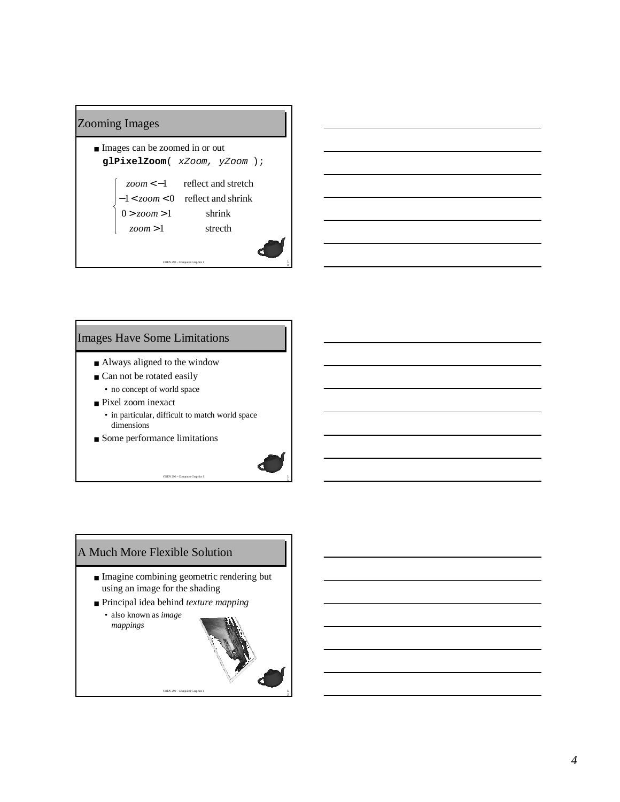#### COEN 290 - Computer Graphics I Zooming Images ■ Images can be zoomed in or out **glPixelZoom**( xZoom, yZoom );  $\overline{\mathcal{L}}$  $\mathbf{I}$ -₹ J  $\mathbf{I}$  $-1 < zoom < 0$  reflect and shrink > 1 *zoom*  $0 > zoom > 1$ < − 1 *zoom* strecth shrink reflect and stretch

0

2



## Images Have Some Limitations

- Always aligned to the window
- Can not be rotated easily
	- no concept of world space
- Pixel zoom inexact • in particular, difficult to match world space dimensions

COEN 290 - Computer Graphics I

■ Some performance limitations



■ Imagine combining geometric rendering but using an image for the shading

COEN 290 - Computer Graphics I

■ Principal idea behind *texture mapping* 

• also known as *image mappings*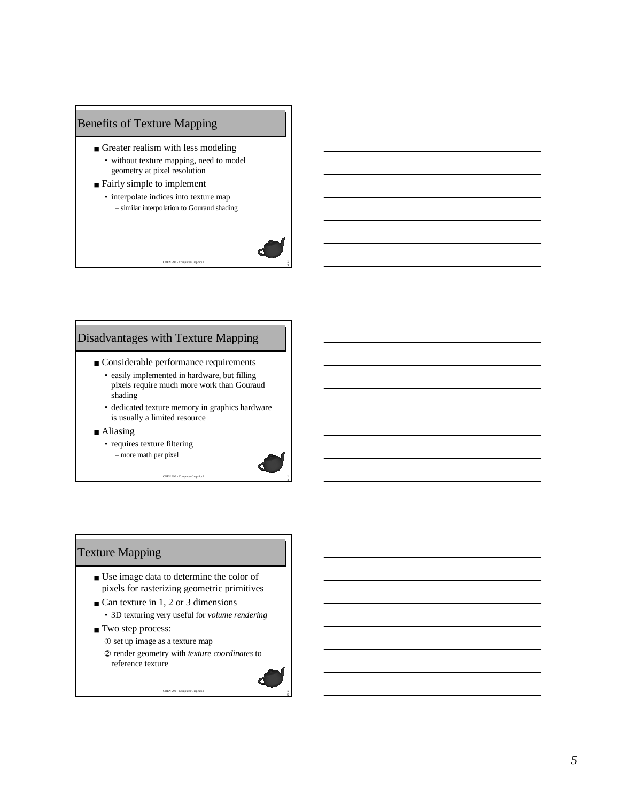## Benefits of Texture Mapping

- Greater realism with less modeling • without texture mapping, need to model geometry at pixel resolution
- Fairly simple to implement
	- interpolate indices into texture map – similar interpolation to Gouraud shading

COEN 290 - Computer Graphics I



4

5

## Disadvantages with Texture Mapping

- Considerable performance requirements
	- easily implemented in hardware, but filling pixels require much more work than Gouraud shading
	- dedicated texture memory in graphics hardware is usually a limited resource
- Aliasing
	- requires texture filtering – more math per pixel

COEN 290 - Computer Graphics I

# Texture Mapping

- Use image data to determine the color of pixels for rasterizing geometric primitives
- Can texture in 1, 2 or 3 dimensions
- 3D texturing very useful for *volume rendering*
- Two step process:
	- ➀ set up image as a texture map
	- ➁ render geometry with *texture coordinates* to reference texture

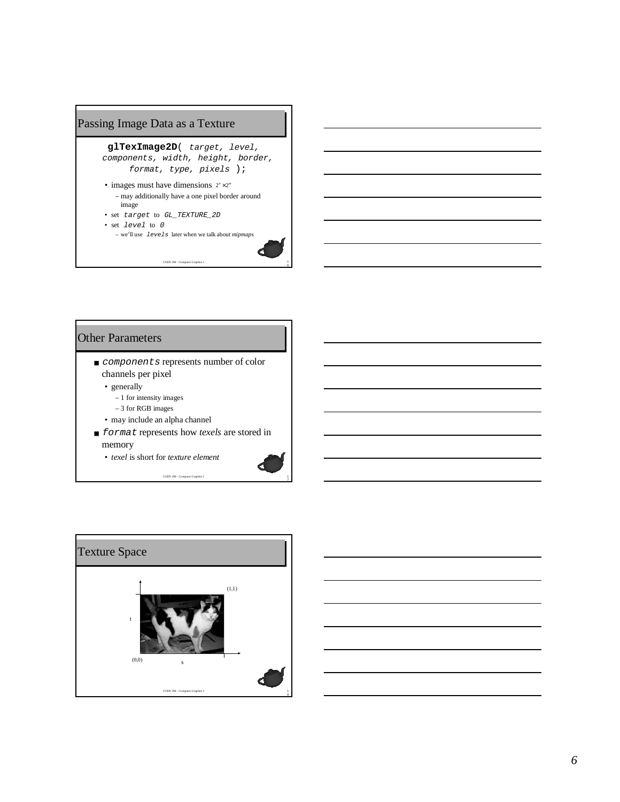# Passing Image Data as a Texture

**glTexImage2D**( target, level, components, width, height, border, format, type, pixels );

• images must have dimensions  $2^{n} \times 2^{m}$ – may additionally have a one pixel border around image

COEN 290 - Computer Graphics I

6

- set target to GL\_TEXTURE\_2D • set level to <sup>0</sup>
	- we'll use levels later when we talk about *mipmaps*

#### Other Parameters

- *components* represents number of color channels per pixel
	- generally
		- 1 for intensity images
		- 3 for RGB images
	- may include an alpha channel
- *format* represents how *texels* are stored in memory
	- *texel* is short for *texture element*

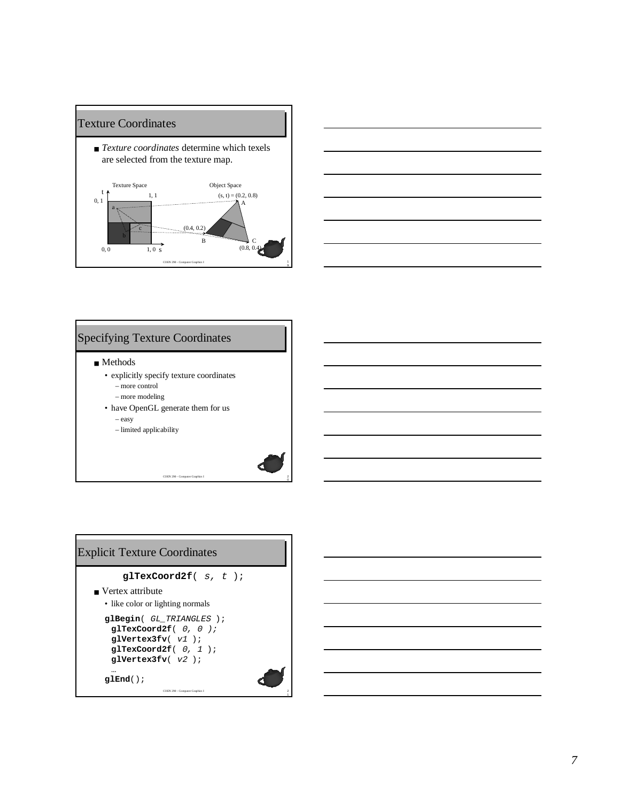



## Specifying Texture Coordinates

■ Methods

- explicitly specify texture coordinates
	- more control
	- more modeling
- have OpenGL generate them for us – easy

COEN 290 - Computer Graphics I

– limited applicability



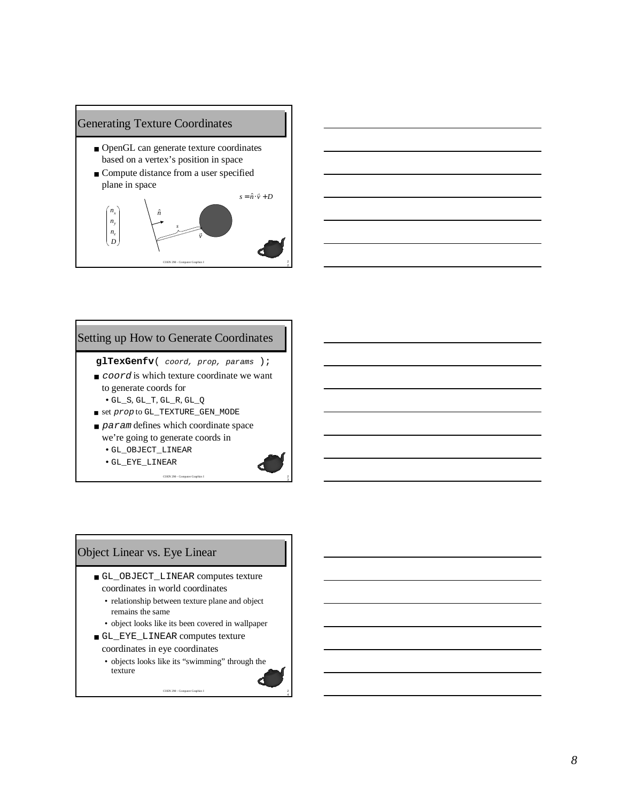

■ Compute distance from a user specified plane in space





## Setting up How to Generate Coordinates

- **glTexGenfv** ( coord, prop, params );
- *coord* is which texture coordinate we want to generate coords for • GL\_S , GL\_T , GL\_R , GL\_Q
- $\blacksquare$  set  $prop$  to <code>GL\_TEXTURE\_GEN\_MODE</code>
- param defines which coordinate space we're going to generate coords in

COEN 290 - Computer Graphics I

- GL\_OBJECT\_LINEAR
- GL\_EYE\_LINEAR



# Object Linear vs. Eye Linear

- GL\_OBJECT\_LINEAR computes texture coordinates in world coordinates
	- relationship between texture plane and object remains the same
	- object looks like its been covered in wallpaper
- GL\_EYE\_LINEAR computes texture coordinates in eye coordinates
	- objects looks like its "swimming" through the texture

COEN 290 - Computer Graphics I



24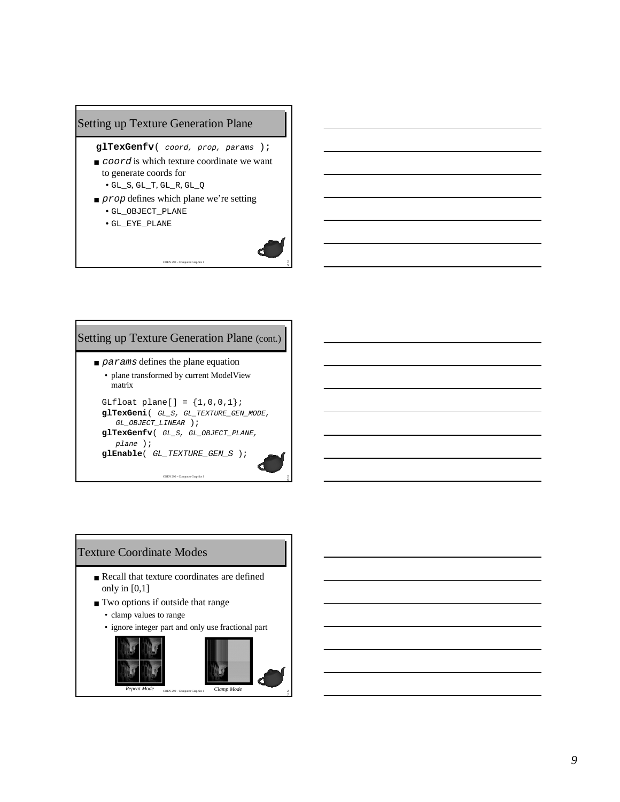# Setting up Texture Generation Plane

#### **glTexGenfv**( coord, prop, params );

- *coord* is which texture coordinate we want to generate coords for
	- $\bullet$  GL\_S, GL\_T, GL\_R, GL\_Q
- *prop* defines which plane we're setting

COEN 290 - Computer Gra

• GL\_OBJECT\_PLANE • GL\_EYE\_PLANE



6

# Setting up Texture Generation Plane (cont.)

- $\blacksquare$  params defines the plane equation • plane transformed by current ModelView
	- matrix

```
GLfloat plane[] = {1, 0, 0, 1};
glTexGeni( GL_S, GL_TEXTURE_GEN_MODE,
   GL_OBJECT_LINEAR );
glTexGenfv( GL_S, GL_OBJECT_PLANE,
  plane );
glEnable( GL_TEXTURE_GEN_S );
```
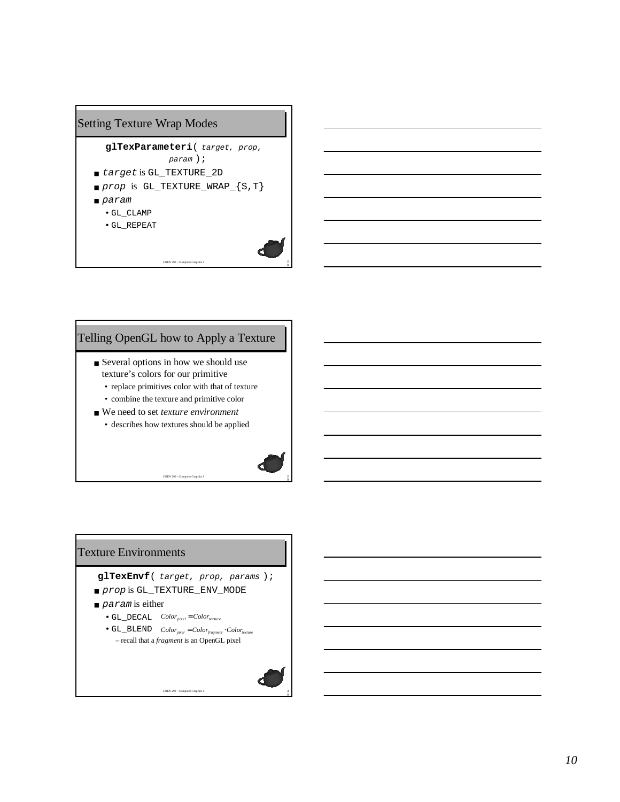# Setting Texture Wrap Modes



# Telling OpenGL how to Apply a Texture

- Several options in how we should use texture's colors for our primitive
	- replace primitives color with that of texture
	- combine the texture and primitive color

COEN 290 - Computer Grap

■ We need to set *texture environment* • describes how textures should be applied



9

0

#### Texture Environments

- **glTexEnvf**( target, prop, params );
- *prop* is GL\_TEXTURE\_ENV\_MODE
- $\blacksquare$  param is either
	- $\bullet$  GL\_DECAL  $Color_{pixel} = Color_{texture}$
	- $\bullet$  GL\_BLEND  $Color_{pixel} = Color_{fragment} \cdot Color_{texture}$ – recall that a *fragment* is an OpenGL pixel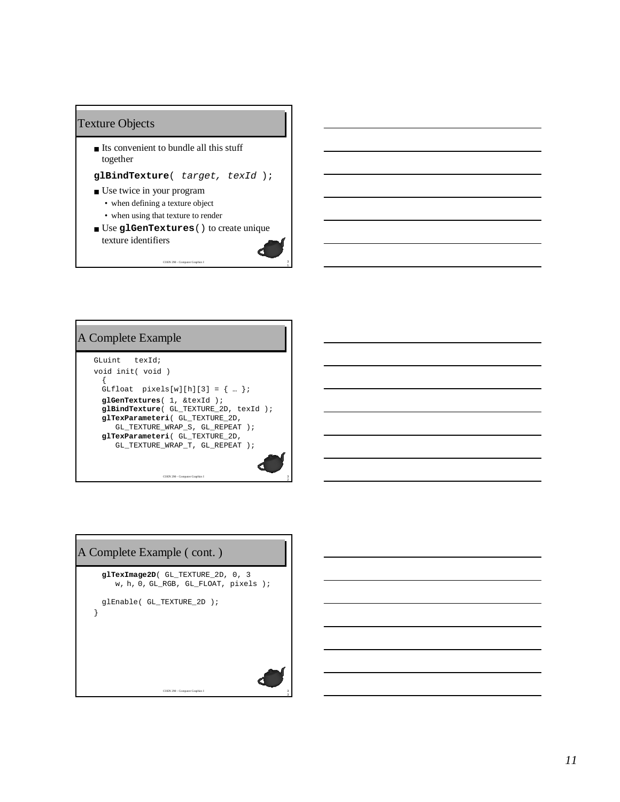#### Texture Objects

■ Its convenient to bundle all this stuff together

**glBindTexture**( target, texId );

- Use twice in your program
	- when defining a texture object
	- when using that texture to render
- Use **glGenTextures**() to create unique texture identifiers

COEN 290 - Computer Graphics I

1



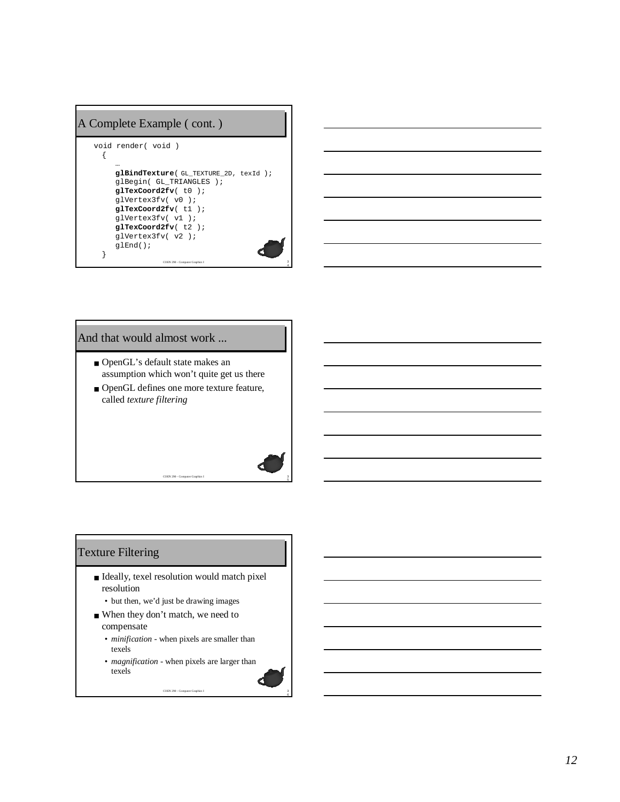# A Complete Example ( cont. )

```
COEN 290 - Computer Graphics I
void render( void )
 {
     …
     glBindTexture( GL_TEXTURE_2D, texId );
     glBegin( GL_TRIANGLES );
     glTexCoord2fv( t0 );
     glVertex3fv( v0 );
     glTexCoord2fv( t1 );
     glVertex3fv( v1 );
     glTexCoord2fv( t2 );
     glVertex3fv( v2 );
     glEnd();
  }
```
4

5

6



# And that would almost work ...

- OpenGL's default state makes an assumption which won't quite get us there
- OpenGL defines one more texture feature, called *texture filtering*

COEN 290 - Computer Graphics I

# Texture Filtering

- Ideally, texel resolution would match pixel resolution
	- but then, we'd just be drawing images
- When they don't match, we need to compensate
	- *minification* when pixels are smaller than texels
	- *magnification* when pixels are larger than texels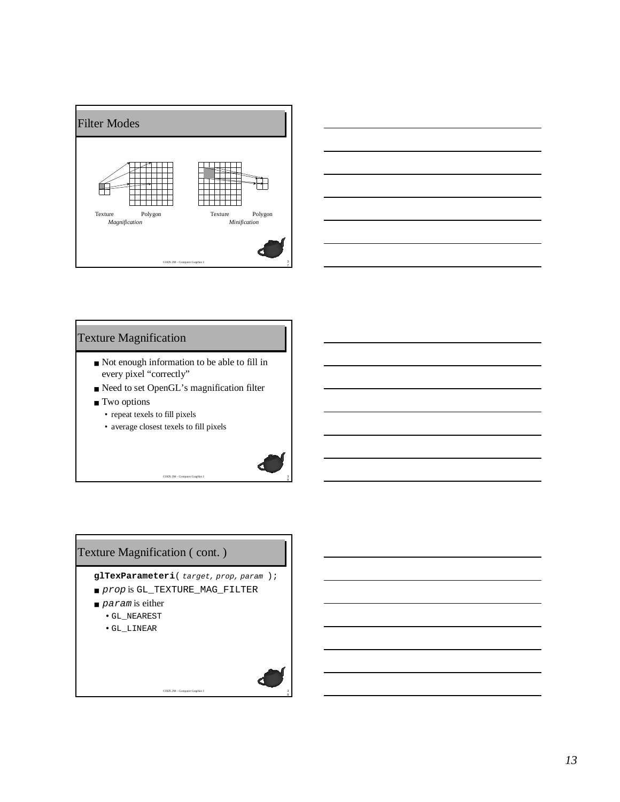



## Texture Magnification

- Not enough information to be able to fill in every pixel "correctly"
- Need to set OpenGL's magnification filter

COEN 290 - Compute

- Two options
	- repeat texels to fill pixels
	- average closest texels to fill pixels



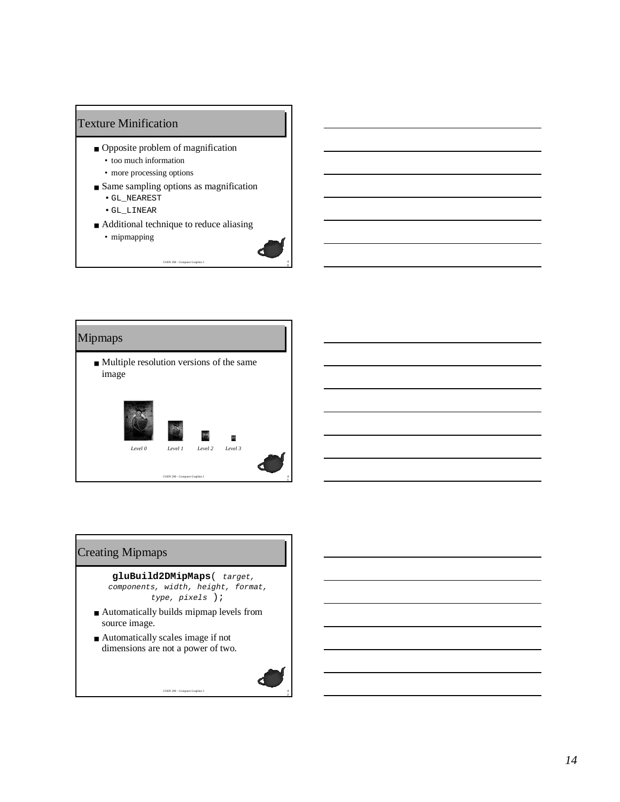# Texture Minification

- Opposite problem of magnification
	- too much information
	- more processing options
- Same sampling options as magnification
	- GL\_NEAREST
	- GL\_LINEAR
- Additional technique to reduce aliasing

 $COEN$  290 -  $Comp$ 

4 0

• mipmapping



# 4 2 COEN 290 - Computer Graphics I Creating Mipmaps **gluBuild2DMipMaps**( target, components, width, height, format, type, pixels ); ■ Automatically builds mipmap levels from source image. ■ Automatically scales image if not dimensions are not a power of two.